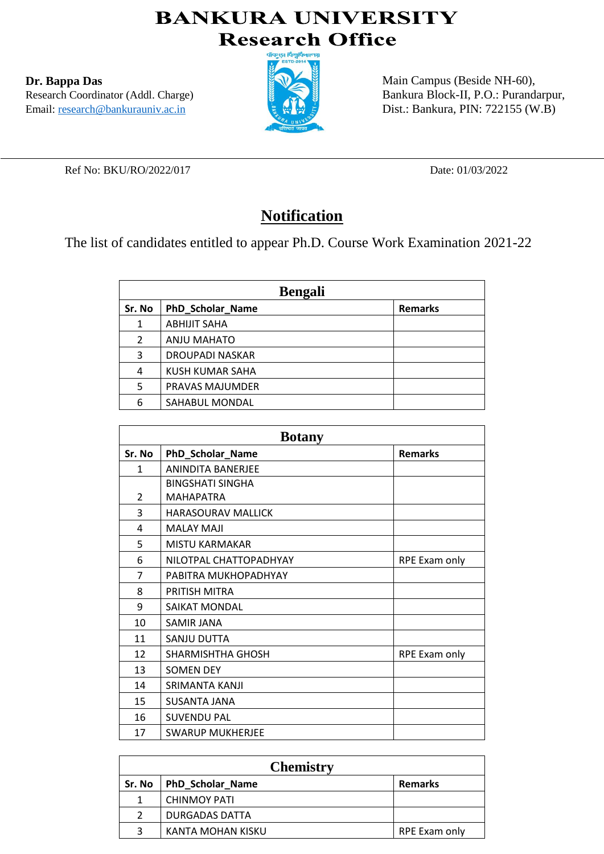## **BANKURA UNIVERSITY Research Office**

**Dr. Bappa Das** Research Coordinator (Addl. Charge) Email: research@bankurauniv.ac.in



Main Campus (Beside NH-60), Bankura Block-II, P.O.: Purandarpur, Dist.: Bankura, PIN: 722155 (W.B)

Ref No: BKU/RO/2022/017 Date: 01/03/2022

## **Notification**

The list of candidates entitled to appear Ph.D. Course Work Examination 2021-22

| <b>Bengali</b> |                        |                |
|----------------|------------------------|----------------|
| Sr. No         | PhD_Scholar_Name       | <b>Remarks</b> |
| 1              | <b>ABHIJIT SAHA</b>    |                |
| 2              | ANJU MAHATO            |                |
| 3              | <b>DROUPADI NASKAR</b> |                |
| 4              | KUSH KUMAR SAHA        |                |
| 5              | PRAVAS MAJUMDER        |                |
| 6              | SAHABUL MONDAL         |                |

| <b>Botany</b>  |                           |                |
|----------------|---------------------------|----------------|
| Sr. No         | PhD_Scholar_Name          | <b>Remarks</b> |
| $\mathbf{1}$   | <b>ANINDITA BANERJEE</b>  |                |
|                | <b>BINGSHATI SINGHA</b>   |                |
| $\overline{2}$ | <b>MAHAPATRA</b>          |                |
| 3              | <b>HARASOURAV MALLICK</b> |                |
| 4              | <b>MALAY MAJI</b>         |                |
| 5              | <b>MISTU KARMAKAR</b>     |                |
| 6              | NILOTPAL CHATTOPADHYAY    | RPE Exam only  |
| 7              | PABITRA MUKHOPADHYAY      |                |
| 8              | PRITISH MITRA             |                |
| 9              | SAIKAT MONDAL             |                |
| 10             | <b>SAMIR JANA</b>         |                |
| 11             | SANJU DUTTA               |                |
| 12             | <b>SHARMISHTHA GHOSH</b>  | RPE Exam only  |
| 13             | <b>SOMEN DEY</b>          |                |
| 14             | SRIMANTA KANJI            |                |
| 15             | <b>SUSANTA JANA</b>       |                |
| 16             | <b>SUVENDU PAL</b>        |                |
| 17             | <b>SWARUP MUKHERJEE</b>   |                |

| <b>Chemistry</b> |                         |                |
|------------------|-------------------------|----------------|
| Sr. No           | <b>PhD Scholar Name</b> | <b>Remarks</b> |
|                  | <b>CHINMOY PATI</b>     |                |
|                  | DURGADAS DATTA          |                |
| 3                | KANTA MOHAN KISKU       | RPE Exam only  |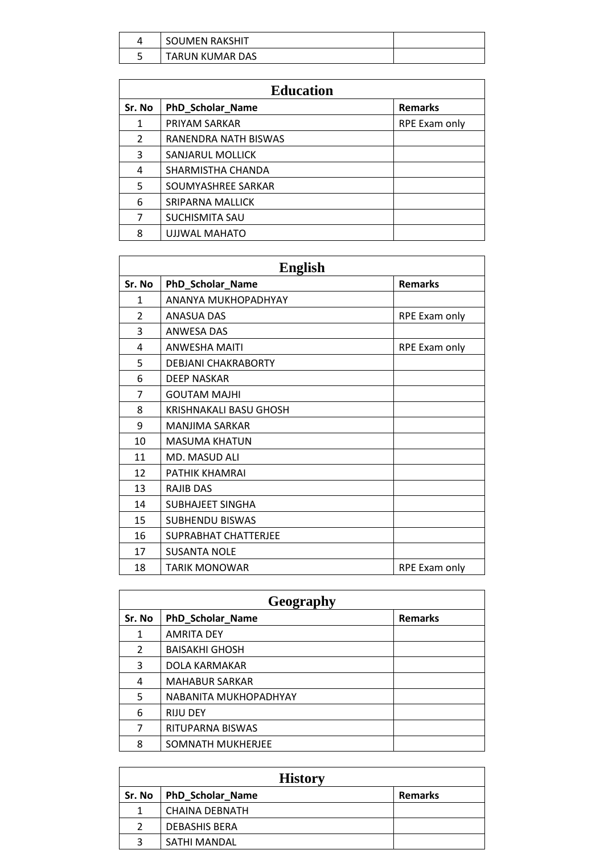| <b>SOUMEN RAKSHIT</b> |  |
|-----------------------|--|
| TARUN KUMAR DAS       |  |

| <b>Education</b> |                         |                |
|------------------|-------------------------|----------------|
| Sr. No           | PhD_Scholar_Name        | <b>Remarks</b> |
| 1                | PRIYAM SARKAR           | RPE Exam only  |
| $\overline{2}$   | RANENDRA NATH BISWAS    |                |
| 3                | SANJARUL MOLLICK        |                |
| 4                | SHARMISTHA CHANDA       |                |
| 5                | SOUMYASHREE SARKAR      |                |
| 6                | <b>SRIPARNA MALLICK</b> |                |
| 7                | SUCHISMITA SAU          |                |
| 8                | UJJWAL MAHATO           |                |

| <b>English</b> |                             |                |
|----------------|-----------------------------|----------------|
| Sr. No         | PhD_Scholar_Name            | <b>Remarks</b> |
| 1              | ANANYA MUKHOPADHYAY         |                |
| $\overline{2}$ | <b>ANASUA DAS</b>           | RPE Exam only  |
| 3              | <b>ANWESA DAS</b>           |                |
| 4              | <b>ANWESHA MAITI</b>        | RPE Exam only  |
| 5              | <b>DEBJANI CHAKRABORTY</b>  |                |
| 6              | <b>DEEP NASKAR</b>          |                |
| 7              | <b>GOUTAM MAJHI</b>         |                |
| 8              | KRISHNAKALI BASU GHOSH      |                |
| 9              | MANJIMA SARKAR              |                |
| 10             | <b>MASUMA KHATUN</b>        |                |
| 11             | <b>MD. MASUD ALI</b>        |                |
| 12             | PATHIK KHAMRAI              |                |
| 13             | <b>RAJIB DAS</b>            |                |
| 14             | <b>SUBHAJEET SINGHA</b>     |                |
| 15             | <b>SUBHENDU BISWAS</b>      |                |
| 16             | <b>SUPRABHAT CHATTERJEE</b> |                |
| 17             | <b>SUSANTA NOLE</b>         |                |
| 18             | <b>TARIK MONOWAR</b>        | RPE Exam only  |

| Geography      |                       |                |
|----------------|-----------------------|----------------|
| Sr. No         | PhD_Scholar_Name      | <b>Remarks</b> |
| 1              | <b>AMRITA DEY</b>     |                |
| $\overline{2}$ | <b>BAISAKHI GHOSH</b> |                |
| 3              | DOLA KARMAKAR         |                |
| 4              | <b>MAHABUR SARKAR</b> |                |
| 5              | NABANITA MUKHOPADHYAY |                |
| 6              | <b>RIJU DEY</b>       |                |
| 7              | RITUPARNA BISWAS      |                |
| 8              | SOMNATH MUKHERJEE     |                |

| <b>History</b> |                         |                |
|----------------|-------------------------|----------------|
| Sr. No         | <b>PhD_Scholar_Name</b> | <b>Remarks</b> |
| 1              | CHAINA DEBNATH          |                |
| 2              | <b>DEBASHIS BERA</b>    |                |
| 3              | SATHI MANDAL            |                |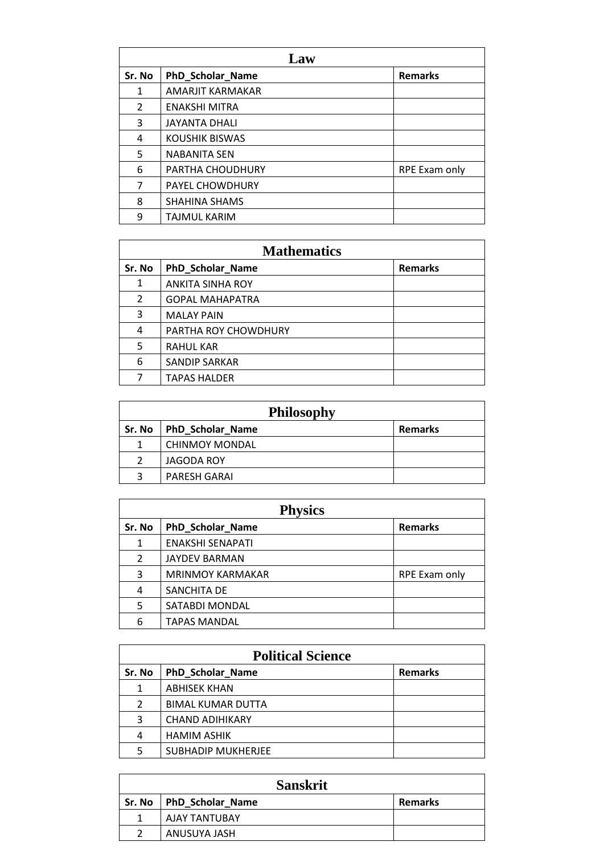| Law            |                       |                |
|----------------|-----------------------|----------------|
| Sr. No         | PhD_Scholar_Name      | <b>Remarks</b> |
| $\mathbf{1}$   | AMARJIT KARMAKAR      |                |
| $\overline{2}$ | <b>ENAKSHI MITRA</b>  |                |
| 3              | <b>JAYANTA DHALI</b>  |                |
| 4              | <b>KOUSHIK BISWAS</b> |                |
| 5              | <b>NABANITA SEN</b>   |                |
| 6              | PARTHA CHOUDHURY      | RPE Exam only  |
| 7              | PAYEL CHOWDHURY       |                |
| 8              | <b>SHAHINA SHAMS</b>  |                |
| 9              | TAJMUL KARIM          |                |

| <b>Mathematics</b> |                         |                |
|--------------------|-------------------------|----------------|
| Sr. No             | PhD_Scholar_Name        | <b>Remarks</b> |
| 1                  | <b>ANKITA SINHA ROY</b> |                |
| 2                  | <b>GOPAL MAHAPATRA</b>  |                |
| 3                  | <b>MALAY PAIN</b>       |                |
| 4                  | PARTHA ROY CHOWDHURY    |                |
| 5                  | <b>RAHUL KAR</b>        |                |
| 6                  | <b>SANDIP SARKAR</b>    |                |
| 7                  | <b>TAPAS HALDER</b>     |                |

| <b>Philosophy</b> |                           |                |
|-------------------|---------------------------|----------------|
|                   | Sr. No   PhD_Scholar_Name | <b>Remarks</b> |
|                   | <b>CHINMOY MONDAL</b>     |                |
| $\mathcal{P}$     | JAGODA ROY                |                |
| 3                 | PARESH GARAI              |                |

| <b>Physics</b> |                         |                      |
|----------------|-------------------------|----------------------|
| Sr. No         | PhD_Scholar_Name        | <b>Remarks</b>       |
| $\mathbf{1}$   | <b>ENAKSHI SENAPATI</b> |                      |
| 2              | <b>JAYDEV BARMAN</b>    |                      |
| 3              | <b>MRINMOY KARMAKAR</b> | <b>RPE Exam only</b> |
| 4              | SANCHITA DE             |                      |
| 5              | SATABDI MONDAL          |                      |
| 6              | <b>TAPAS MANDAL</b>     |                      |

| <b>Political Science</b> |                           |                |  |  |
|--------------------------|---------------------------|----------------|--|--|
| Sr. No                   | PhD_Scholar_Name          | <b>Remarks</b> |  |  |
| 1                        | <b>ABHISEK KHAN</b>       |                |  |  |
| 2                        | <b>BIMAL KUMAR DUTTA</b>  |                |  |  |
| 3                        | <b>CHAND ADIHIKARY</b>    |                |  |  |
| 4                        | <b>HAMIM ASHIK</b>        |                |  |  |
| 5                        | <b>SUBHADIP MUKHERJEE</b> |                |  |  |

| <b>Sanskrit</b> |                           |                |  |  |
|-----------------|---------------------------|----------------|--|--|
|                 | Sr. No   PhD Scholar Name | <b>Remarks</b> |  |  |
|                 | AJAY TANTUBAY             |                |  |  |
| າ               | ANUSUYA JASH              |                |  |  |